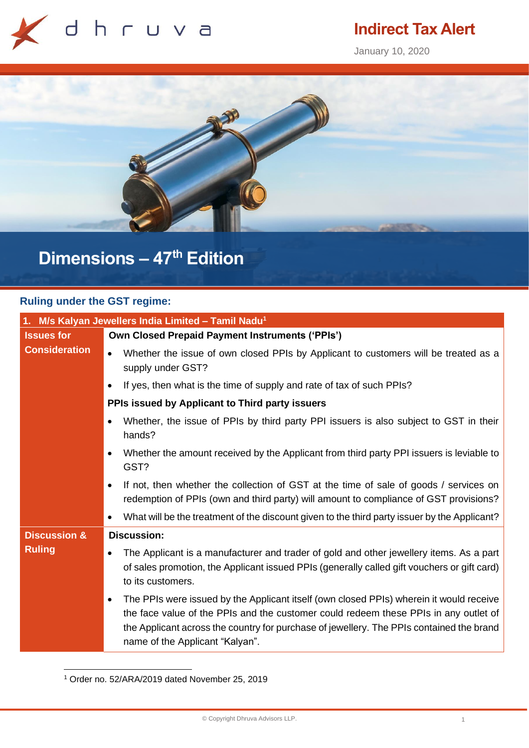

## **Indirect Tax Alert**

January 10, 2020



# **Dimensions – 47 th Edition**

### **Ruling under the GST regime:**

| 1. M/s Kalyan Jewellers India Limited - Tamil Nadu <sup>1</sup> |                                                                                                                                                                                                                                                                                                                     |
|-----------------------------------------------------------------|---------------------------------------------------------------------------------------------------------------------------------------------------------------------------------------------------------------------------------------------------------------------------------------------------------------------|
| <b>Issues for</b>                                               | <b>Own Closed Prepaid Payment Instruments ('PPIs')</b>                                                                                                                                                                                                                                                              |
| <b>Consideration</b>                                            | Whether the issue of own closed PPIs by Applicant to customers will be treated as a<br>$\bullet$<br>supply under GST?                                                                                                                                                                                               |
|                                                                 | If yes, then what is the time of supply and rate of tax of such PPIs?<br>$\bullet$                                                                                                                                                                                                                                  |
|                                                                 | PPIs issued by Applicant to Third party issuers                                                                                                                                                                                                                                                                     |
|                                                                 | Whether, the issue of PPIs by third party PPI issuers is also subject to GST in their<br>hands?                                                                                                                                                                                                                     |
|                                                                 | Whether the amount received by the Applicant from third party PPI issuers is leviable to<br>GST?                                                                                                                                                                                                                    |
|                                                                 | If not, then whether the collection of GST at the time of sale of goods / services on<br>redemption of PPIs (own and third party) will amount to compliance of GST provisions?                                                                                                                                      |
|                                                                 | What will be the treatment of the discount given to the third party issuer by the Applicant?                                                                                                                                                                                                                        |
| <b>Discussion &amp;</b>                                         | <b>Discussion:</b>                                                                                                                                                                                                                                                                                                  |
| <b>Ruling</b>                                                   | The Applicant is a manufacturer and trader of gold and other jewellery items. As a part<br>of sales promotion, the Applicant issued PPIs (generally called gift vouchers or gift card)<br>to its customers.                                                                                                         |
|                                                                 | The PPIs were issued by the Applicant itself (own closed PPIs) wherein it would receive<br>٠<br>the face value of the PPIs and the customer could redeem these PPIs in any outlet of<br>the Applicant across the country for purchase of jewellery. The PPIs contained the brand<br>name of the Applicant "Kalyan". |

<sup>1</sup> Order no. 52/ARA/2019 dated November 25, 2019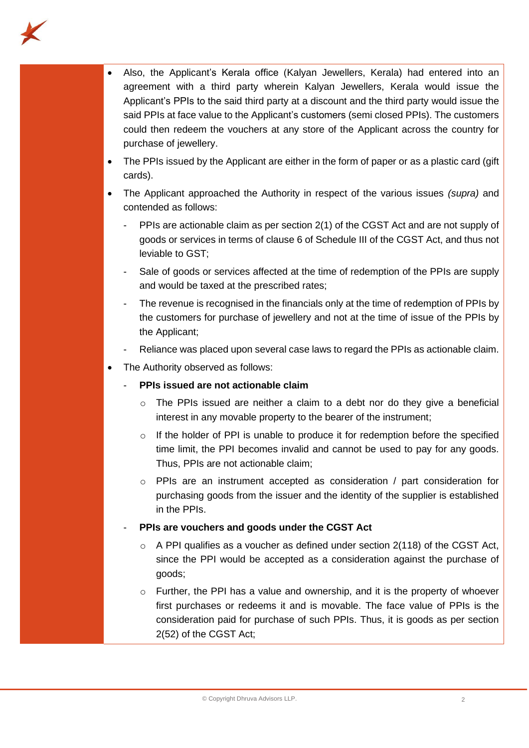

- Also, the Applicant's Kerala office (Kalyan Jewellers, Kerala) had entered into an agreement with a third party wherein Kalyan Jewellers, Kerala would issue the Applicant's PPIs to the said third party at a discount and the third party would issue the said PPIs at face value to the Applicant's customers (semi closed PPIs). The customers could then redeem the vouchers at any store of the Applicant across the country for purchase of jewellery.
- The PPIs issued by the Applicant are either in the form of paper or as a plastic card (gift) cards).
- The Applicant approached the Authority in respect of the various issues *(supra)* and contended as follows:
	- PPIs are actionable claim as per section 2(1) of the CGST Act and are not supply of goods or services in terms of clause 6 of Schedule III of the CGST Act, and thus not leviable to GST;
	- Sale of goods or services affected at the time of redemption of the PPIs are supply and would be taxed at the prescribed rates;
	- The revenue is recognised in the financials only at the time of redemption of PPIs by the customers for purchase of jewellery and not at the time of issue of the PPIs by the Applicant;
	- Reliance was placed upon several case laws to regard the PPIs as actionable claim.
- The Authority observed as follows:
	- **PPIs issued are not actionable claim**
		- o The PPIs issued are neither a claim to a debt nor do they give a beneficial interest in any movable property to the bearer of the instrument;
		- $\circ$  If the holder of PPI is unable to produce it for redemption before the specified time limit, the PPI becomes invalid and cannot be used to pay for any goods. Thus, PPIs are not actionable claim;
		- $\circ$  PPIs are an instrument accepted as consideration / part consideration for purchasing goods from the issuer and the identity of the supplier is established in the PPIs.
	- **PPIs are vouchers and goods under the CGST Act**
		- $\circ$  A PPI qualifies as a voucher as defined under section 2(118) of the CGST Act, since the PPI would be accepted as a consideration against the purchase of goods;
		- $\circ$  Further, the PPI has a value and ownership, and it is the property of whoever first purchases or redeems it and is movable. The face value of PPIs is the consideration paid for purchase of such PPIs. Thus, it is goods as per section 2(52) of the CGST Act;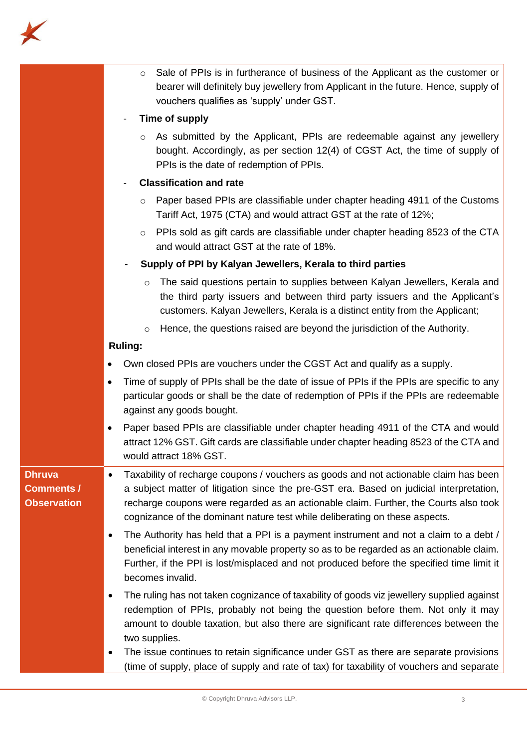

|                                                          | Sale of PPIs is in furtherance of business of the Applicant as the customer or<br>$\circ$<br>bearer will definitely buy jewellery from Applicant in the future. Hence, supply of<br>vouchers qualifies as 'supply' under GST.                                                                                                                               |
|----------------------------------------------------------|-------------------------------------------------------------------------------------------------------------------------------------------------------------------------------------------------------------------------------------------------------------------------------------------------------------------------------------------------------------|
|                                                          | Time of supply                                                                                                                                                                                                                                                                                                                                              |
|                                                          | As submitted by the Applicant, PPIs are redeemable against any jewellery<br>$\circ$<br>bought. Accordingly, as per section 12(4) of CGST Act, the time of supply of<br>PPIs is the date of redemption of PPIs.                                                                                                                                              |
|                                                          | <b>Classification and rate</b>                                                                                                                                                                                                                                                                                                                              |
|                                                          | Paper based PPIs are classifiable under chapter heading 4911 of the Customs<br>$\circ$<br>Tariff Act, 1975 (CTA) and would attract GST at the rate of 12%;                                                                                                                                                                                                  |
|                                                          | PPIs sold as gift cards are classifiable under chapter heading 8523 of the CTA<br>$\circ$<br>and would attract GST at the rate of 18%.                                                                                                                                                                                                                      |
|                                                          | Supply of PPI by Kalyan Jewellers, Kerala to third parties                                                                                                                                                                                                                                                                                                  |
|                                                          | The said questions pertain to supplies between Kalyan Jewellers, Kerala and<br>$\circ$<br>the third party issuers and between third party issuers and the Applicant's<br>customers. Kalyan Jewellers, Kerala is a distinct entity from the Applicant;                                                                                                       |
|                                                          | Hence, the questions raised are beyond the jurisdiction of the Authority.<br>$\circ$                                                                                                                                                                                                                                                                        |
|                                                          | <b>Ruling:</b>                                                                                                                                                                                                                                                                                                                                              |
|                                                          | Own closed PPIs are vouchers under the CGST Act and qualify as a supply.                                                                                                                                                                                                                                                                                    |
|                                                          | Time of supply of PPIs shall be the date of issue of PPIs if the PPIs are specific to any<br>particular goods or shall be the date of redemption of PPIs if the PPIs are redeemable<br>against any goods bought.                                                                                                                                            |
|                                                          | Paper based PPIs are classifiable under chapter heading 4911 of the CTA and would<br>$\bullet$<br>attract 12% GST. Gift cards are classifiable under chapter heading 8523 of the CTA and<br>would attract 18% GST.                                                                                                                                          |
| <b>Dhruva</b><br><b>Comments /</b><br><b>Observation</b> | Taxability of recharge coupons / vouchers as goods and not actionable claim has been<br>٠<br>a subject matter of litigation since the pre-GST era. Based on judicial interpretation,<br>recharge coupons were regarded as an actionable claim. Further, the Courts also took<br>cognizance of the dominant nature test while deliberating on these aspects. |
|                                                          | The Authority has held that a PPI is a payment instrument and not a claim to a debt /<br>٠<br>beneficial interest in any movable property so as to be regarded as an actionable claim.<br>Further, if the PPI is lost/misplaced and not produced before the specified time limit it<br>becomes invalid.                                                     |
|                                                          | The ruling has not taken cognizance of taxability of goods viz jewellery supplied against<br>٠<br>redemption of PPIs, probably not being the question before them. Not only it may<br>amount to double taxation, but also there are significant rate differences between the<br>two supplies.                                                               |
|                                                          | The issue continues to retain significance under GST as there are separate provisions<br>٠<br>(time of supply, place of supply and rate of tax) for taxability of vouchers and separate                                                                                                                                                                     |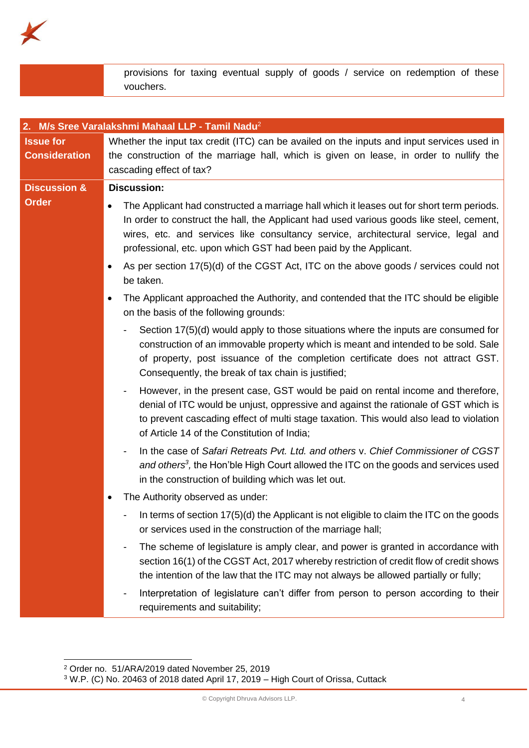

provisions for taxing eventual supply of goods / service on redemption of these vouchers.

| 2. M/s Sree Varalakshmi Mahaal LLP - Tamil Nadu <sup>2</sup> |                                                                                                                                                                                                                                                                                                                                                                |
|--------------------------------------------------------------|----------------------------------------------------------------------------------------------------------------------------------------------------------------------------------------------------------------------------------------------------------------------------------------------------------------------------------------------------------------|
| <b>Issue for</b><br><b>Consideration</b>                     | Whether the input tax credit (ITC) can be availed on the inputs and input services used in<br>the construction of the marriage hall, which is given on lease, in order to nullify the<br>cascading effect of tax?                                                                                                                                              |
| <b>Discussion &amp;</b>                                      | <b>Discussion:</b>                                                                                                                                                                                                                                                                                                                                             |
| <b>Order</b>                                                 | The Applicant had constructed a marriage hall which it leases out for short term periods.<br>$\bullet$<br>In order to construct the hall, the Applicant had used various goods like steel, cement,<br>wires, etc. and services like consultancy service, architectural service, legal and<br>professional, etc. upon which GST had been paid by the Applicant. |
|                                                              | As per section 17(5)(d) of the CGST Act, ITC on the above goods / services could not<br>be taken.                                                                                                                                                                                                                                                              |
|                                                              | The Applicant approached the Authority, and contended that the ITC should be eligible<br>on the basis of the following grounds:                                                                                                                                                                                                                                |
|                                                              | Section 17(5)(d) would apply to those situations where the inputs are consumed for<br>construction of an immovable property which is meant and intended to be sold. Sale<br>of property, post issuance of the completion certificate does not attract GST.<br>Consequently, the break of tax chain is justified;                                               |
|                                                              | However, in the present case, GST would be paid on rental income and therefore,<br>denial of ITC would be unjust, oppressive and against the rationale of GST which is<br>to prevent cascading effect of multi stage taxation. This would also lead to violation<br>of Article 14 of the Constitution of India;                                                |
|                                                              | In the case of Safari Retreats Pvt. Ltd. and others v. Chief Commissioner of CGST<br>and others <sup>3</sup> , the Hon'ble High Court allowed the ITC on the goods and services used<br>in the construction of building which was let out.                                                                                                                     |
|                                                              | The Authority observed as under:                                                                                                                                                                                                                                                                                                                               |
|                                                              | In terms of section 17(5)(d) the Applicant is not eligible to claim the ITC on the goods<br>or services used in the construction of the marriage hall;                                                                                                                                                                                                         |
|                                                              | The scheme of legislature is amply clear, and power is granted in accordance with<br>section 16(1) of the CGST Act, 2017 whereby restriction of credit flow of credit shows<br>the intention of the law that the ITC may not always be allowed partially or fully;                                                                                             |
|                                                              | Interpretation of legislature can't differ from person to person according to their<br>requirements and suitability;                                                                                                                                                                                                                                           |

<sup>2</sup> Order no. 51/ARA/2019 dated November 25, 2019

 $3$  W.P. (C) No. 20463 of 2018 dated April 17, 2019 – High Court of Orissa, Cuttack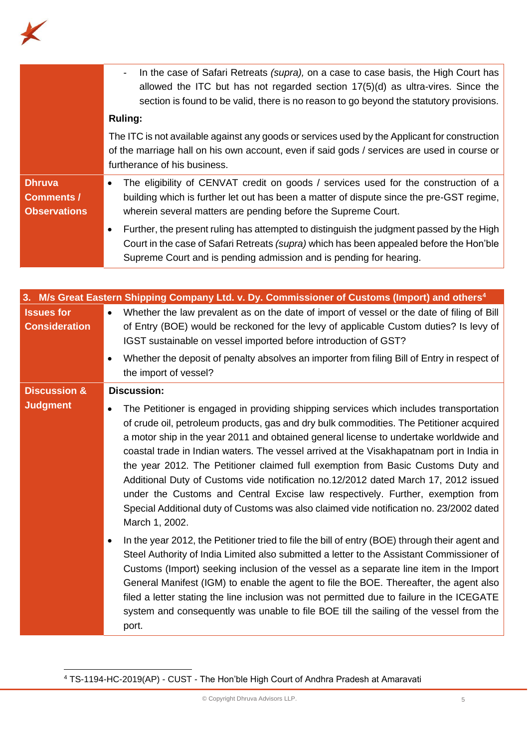

|                                                           | In the case of Safari Retreats (supra), on a case to case basis, the High Court has<br>$\blacksquare$<br>allowed the ITC but has not regarded section $17(5)(d)$ as ultra-vires. Since the<br>section is found to be valid, there is no reason to go beyond the statutory provisions. |
|-----------------------------------------------------------|---------------------------------------------------------------------------------------------------------------------------------------------------------------------------------------------------------------------------------------------------------------------------------------|
|                                                           | <b>Ruling:</b>                                                                                                                                                                                                                                                                        |
|                                                           | The ITC is not available against any goods or services used by the Applicant for construction<br>of the marriage hall on his own account, even if said gods / services are used in course or<br>furtherance of his business.                                                          |
| <b>Dhruva</b><br><b>Comments /</b><br><b>Observations</b> | The eligibility of CENVAT credit on goods / services used for the construction of a<br>building which is further let out has been a matter of dispute since the pre-GST regime,<br>wherein several matters are pending before the Supreme Court.                                      |
|                                                           | Further, the present ruling has attempted to distinguish the judgment passed by the High<br>$\bullet$<br>Court in the case of Safari Retreats (supra) which has been appealed before the Hon'ble<br>Supreme Court and is pending admission and is pending for hearing.                |

|                                           | 3. M/s Great Eastern Shipping Company Ltd. v. Dy. Commissioner of Customs (Import) and others <sup>4</sup>                                                                                                                                                                                                                                                                                                                                                                                                                                                                                                                                                                                                                                       |
|-------------------------------------------|--------------------------------------------------------------------------------------------------------------------------------------------------------------------------------------------------------------------------------------------------------------------------------------------------------------------------------------------------------------------------------------------------------------------------------------------------------------------------------------------------------------------------------------------------------------------------------------------------------------------------------------------------------------------------------------------------------------------------------------------------|
| <b>Issues for</b><br><b>Consideration</b> | Whether the law prevalent as on the date of import of vessel or the date of filing of Bill<br>$\bullet$<br>of Entry (BOE) would be reckoned for the levy of applicable Custom duties? Is levy of<br>IGST sustainable on vessel imported before introduction of GST?                                                                                                                                                                                                                                                                                                                                                                                                                                                                              |
|                                           | Whether the deposit of penalty absolves an importer from filing Bill of Entry in respect of<br>the import of vessel?                                                                                                                                                                                                                                                                                                                                                                                                                                                                                                                                                                                                                             |
| <b>Discussion &amp;</b>                   | <b>Discussion:</b>                                                                                                                                                                                                                                                                                                                                                                                                                                                                                                                                                                                                                                                                                                                               |
| <b>Judgment</b>                           | The Petitioner is engaged in providing shipping services which includes transportation<br>of crude oil, petroleum products, gas and dry bulk commodities. The Petitioner acquired<br>a motor ship in the year 2011 and obtained general license to undertake worldwide and<br>coastal trade in Indian waters. The vessel arrived at the Visakhapatnam port in India in<br>the year 2012. The Petitioner claimed full exemption from Basic Customs Duty and<br>Additional Duty of Customs vide notification no.12/2012 dated March 17, 2012 issued<br>under the Customs and Central Excise law respectively. Further, exemption from<br>Special Additional duty of Customs was also claimed vide notification no. 23/2002 dated<br>March 1, 2002. |
|                                           | In the year 2012, the Petitioner tried to file the bill of entry (BOE) through their agent and<br>Steel Authority of India Limited also submitted a letter to the Assistant Commissioner of<br>Customs (Import) seeking inclusion of the vessel as a separate line item in the Import<br>General Manifest (IGM) to enable the agent to file the BOE. Thereafter, the agent also<br>filed a letter stating the line inclusion was not permitted due to failure in the ICEGATE<br>system and consequently was unable to file BOE till the sailing of the vessel from the<br>port.                                                                                                                                                                  |

<sup>4</sup> TS-1194-HC-2019(AP) - CUST - The Hon'ble High Court of Andhra Pradesh at Amaravati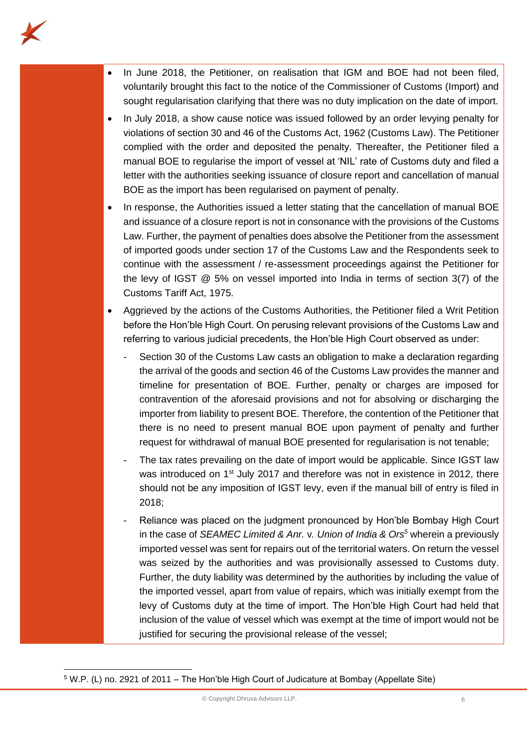

- In June 2018, the Petitioner, on realisation that IGM and BOE had not been filed, voluntarily brought this fact to the notice of the Commissioner of Customs (Import) and sought regularisation clarifying that there was no duty implication on the date of import.
- In July 2018, a show cause notice was issued followed by an order levying penalty for violations of section 30 and 46 of the Customs Act, 1962 (Customs Law). The Petitioner complied with the order and deposited the penalty. Thereafter, the Petitioner filed a manual BOE to regularise the import of vessel at 'NIL' rate of Customs duty and filed a letter with the authorities seeking issuance of closure report and cancellation of manual BOE as the import has been regularised on payment of penalty.
- In response, the Authorities issued a letter stating that the cancellation of manual BOE and issuance of a closure report is not in consonance with the provisions of the Customs Law. Further, the payment of penalties does absolve the Petitioner from the assessment of imported goods under section 17 of the Customs Law and the Respondents seek to continue with the assessment / re-assessment proceedings against the Petitioner for the levy of IGST @ 5% on vessel imported into India in terms of section 3(7) of the Customs Tariff Act, 1975.
- Aggrieved by the actions of the Customs Authorities, the Petitioner filed a Writ Petition before the Hon'ble High Court. On perusing relevant provisions of the Customs Law and referring to various judicial precedents, the Hon'ble High Court observed as under:
	- Section 30 of the Customs Law casts an obligation to make a declaration regarding the arrival of the goods and section 46 of the Customs Law provides the manner and timeline for presentation of BOE. Further, penalty or charges are imposed for contravention of the aforesaid provisions and not for absolving or discharging the importer from liability to present BOE. Therefore, the contention of the Petitioner that there is no need to present manual BOE upon payment of penalty and further request for withdrawal of manual BOE presented for regularisation is not tenable;
	- The tax rates prevailing on the date of import would be applicable. Since IGST law was introduced on 1<sup>st</sup> July 2017 and therefore was not in existence in 2012, there should not be any imposition of IGST levy, even if the manual bill of entry is filed in 2018;
	- Reliance was placed on the judgment pronounced by Hon'ble Bombay High Court in the case of *SEAMEC Limited & Anr.* v*. Union of India & Ors<sup>5</sup>* wherein a previously imported vessel was sent for repairs out of the territorial waters. On return the vessel was seized by the authorities and was provisionally assessed to Customs duty. Further, the duty liability was determined by the authorities by including the value of the imported vessel, apart from value of repairs, which was initially exempt from the levy of Customs duty at the time of import. The Hon'ble High Court had held that inclusion of the value of vessel which was exempt at the time of import would not be justified for securing the provisional release of the vessel;

<sup>5</sup> W.P. (L) no. 2921 of 2011 – The Hon'ble High Court of Judicature at Bombay (Appellate Site)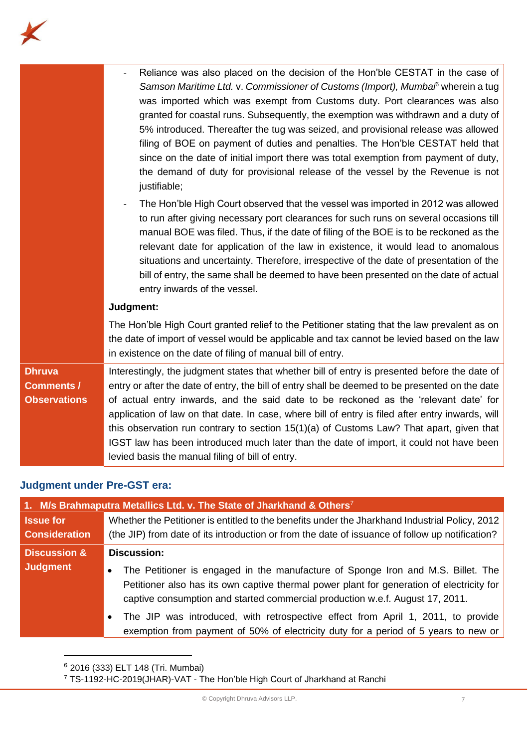

|                     | Reliance was also placed on the decision of the Hon'ble CESTAT in the case of<br>Samson Maritime Ltd. v. Commissioner of Customs (Import), Mumbal <sup>6</sup> wherein a tug<br>was imported which was exempt from Customs duty. Port clearances was also<br>granted for coastal runs. Subsequently, the exemption was withdrawn and a duty of<br>5% introduced. Thereafter the tug was seized, and provisional release was allowed<br>filing of BOE on payment of duties and penalties. The Hon'ble CESTAT held that<br>since on the date of initial import there was total exemption from payment of duty, |
|---------------------|--------------------------------------------------------------------------------------------------------------------------------------------------------------------------------------------------------------------------------------------------------------------------------------------------------------------------------------------------------------------------------------------------------------------------------------------------------------------------------------------------------------------------------------------------------------------------------------------------------------|
|                     | the demand of duty for provisional release of the vessel by the Revenue is not<br>justifiable;                                                                                                                                                                                                                                                                                                                                                                                                                                                                                                               |
|                     | The Hon'ble High Court observed that the vessel was imported in 2012 was allowed<br>$\qquad \qquad \blacksquare$<br>to run after giving necessary port clearances for such runs on several occasions till<br>manual BOE was filed. Thus, if the date of filing of the BOE is to be reckoned as the<br>relevant date for application of the law in existence, it would lead to anomalous<br>situations and uncertainty. Therefore, irrespective of the date of presentation of the<br>bill of entry, the same shall be deemed to have been presented on the date of actual<br>entry inwards of the vessel.    |
|                     | Judgment:                                                                                                                                                                                                                                                                                                                                                                                                                                                                                                                                                                                                    |
|                     | The Hon'ble High Court granted relief to the Petitioner stating that the law prevalent as on<br>the date of import of vessel would be applicable and tax cannot be levied based on the law<br>in existence on the date of filing of manual bill of entry.                                                                                                                                                                                                                                                                                                                                                    |
| <b>Dhruva</b>       | Interestingly, the judgment states that whether bill of entry is presented before the date of                                                                                                                                                                                                                                                                                                                                                                                                                                                                                                                |
| <b>Comments /</b>   | entry or after the date of entry, the bill of entry shall be deemed to be presented on the date                                                                                                                                                                                                                                                                                                                                                                                                                                                                                                              |
| <b>Observations</b> | of actual entry inwards, and the said date to be reckoned as the 'relevant date' for<br>application of law on that date. In case, where bill of entry is filed after entry inwards, will                                                                                                                                                                                                                                                                                                                                                                                                                     |
|                     | this observation run contrary to section 15(1)(a) of Customs Law? That apart, given that                                                                                                                                                                                                                                                                                                                                                                                                                                                                                                                     |
|                     | IGST law has been introduced much later than the date of import, it could not have been<br>levied basis the manual filing of bill of entry.                                                                                                                                                                                                                                                                                                                                                                                                                                                                  |

## **Judgment under Pre-GST era:**

| 1. M/s Brahmaputra Metallics Ltd. v. The State of Jharkhand & Others <sup>7</sup> |                                                                                                                                                                                                                                                                             |
|-----------------------------------------------------------------------------------|-----------------------------------------------------------------------------------------------------------------------------------------------------------------------------------------------------------------------------------------------------------------------------|
| <b>Issue for</b>                                                                  | Whether the Petitioner is entitled to the benefits under the Jharkhand Industrial Policy, 2012                                                                                                                                                                              |
| <b>Consideration</b>                                                              | (the JIP) from date of its introduction or from the date of issuance of follow up notification?                                                                                                                                                                             |
| <b>Discussion &amp;</b>                                                           | <b>Discussion:</b>                                                                                                                                                                                                                                                          |
| <b>Judgment</b>                                                                   | The Petitioner is engaged in the manufacture of Sponge Iron and M.S. Billet. The<br>$\bullet$<br>Petitioner also has its own captive thermal power plant for generation of electricity for<br>captive consumption and started commercial production w.e.f. August 17, 2011. |
|                                                                                   | The JIP was introduced, with retrospective effect from April 1, 2011, to provide<br>exemption from payment of 50% of electricity duty for a period of 5 years to new or                                                                                                     |

<sup>&</sup>lt;sup>6</sup> 2016 (333) ELT 148 (Tri. Mumbai)

<sup>7</sup> TS-1192-HC-2019(JHAR)-VAT - The Hon'ble High Court of Jharkhand at Ranchi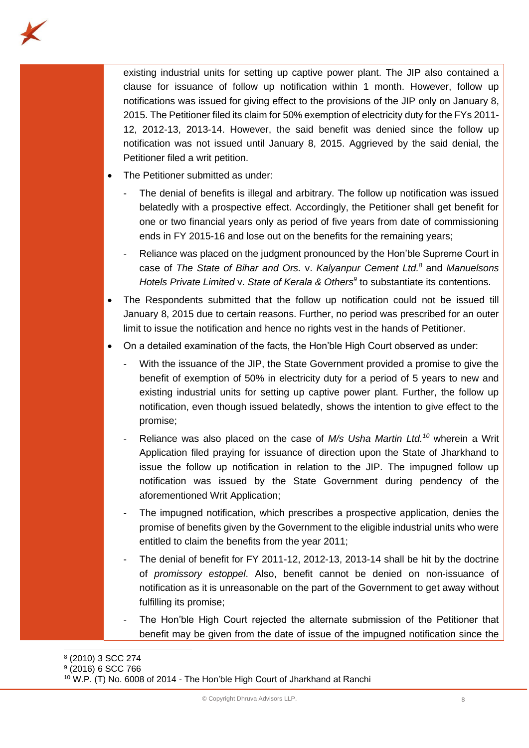

existing industrial units for setting up captive power plant. The JIP also contained a clause for issuance of follow up notification within 1 month. However, follow up notifications was issued for giving effect to the provisions of the JIP only on January 8, 2015. The Petitioner filed its claim for 50% exemption of electricity duty for the FYs 2011- 12, 2012-13, 2013-14. However, the said benefit was denied since the follow up notification was not issued until January 8, 2015. Aggrieved by the said denial, the Petitioner filed a writ petition.

- The Petitioner submitted as under:
	- The denial of benefits is illegal and arbitrary. The follow up notification was issued belatedly with a prospective effect. Accordingly, the Petitioner shall get benefit for one or two financial years only as period of five years from date of commissioning ends in FY 2015-16 and lose out on the benefits for the remaining years;
	- Reliance was placed on the judgment pronounced by the Hon'ble Supreme Court in case of *The State of Bihar and Ors.* v. *Kalyanpur Cement Ltd. <sup>8</sup>* and *Manuelsons Hotels Private Limited* v. *State of Kerala & Others<sup>9</sup>* to substantiate its contentions.
- The Respondents submitted that the follow up notification could not be issued till January 8, 2015 due to certain reasons. Further, no period was prescribed for an outer limit to issue the notification and hence no rights vest in the hands of Petitioner.
- On a detailed examination of the facts, the Hon'ble High Court observed as under:
	- With the issuance of the JIP, the State Government provided a promise to give the benefit of exemption of 50% in electricity duty for a period of 5 years to new and existing industrial units for setting up captive power plant. Further, the follow up notification, even though issued belatedly, shows the intention to give effect to the promise;
	- Reliance was also placed on the case of *M/s Usha Martin Ltd.<sup>10</sup>* wherein a Writ Application filed praying for issuance of direction upon the State of Jharkhand to issue the follow up notification in relation to the JIP. The impugned follow up notification was issued by the State Government during pendency of the aforementioned Writ Application;
	- The impugned notification, which prescribes a prospective application, denies the promise of benefits given by the Government to the eligible industrial units who were entitled to claim the benefits from the year 2011;
	- The denial of benefit for FY 2011-12, 2012-13, 2013-14 shall be hit by the doctrine of *promissory estoppel*. Also, benefit cannot be denied on non-issuance of notification as it is unreasonable on the part of the Government to get away without fulfilling its promise;
	- The Hon'ble High Court rejected the alternate submission of the Petitioner that benefit may be given from the date of issue of the impugned notification since the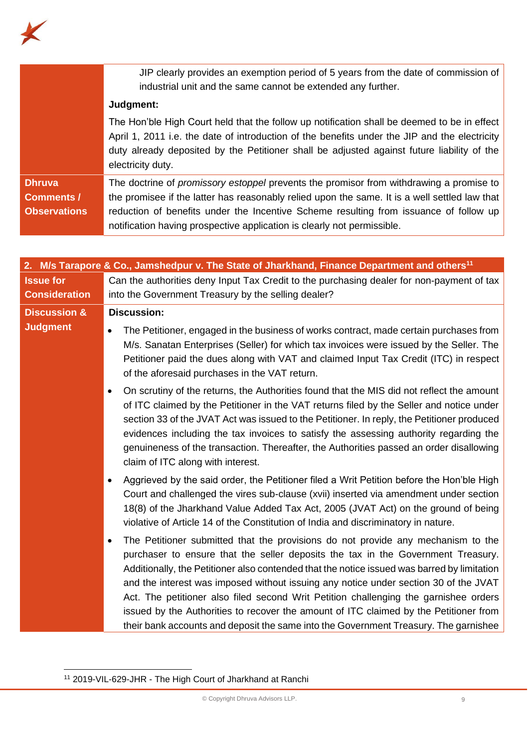

|                                                           | JIP clearly provides an exemption period of 5 years from the date of commission of<br>industrial unit and the same cannot be extended any further.                                                                                                                                                                                                                  |
|-----------------------------------------------------------|---------------------------------------------------------------------------------------------------------------------------------------------------------------------------------------------------------------------------------------------------------------------------------------------------------------------------------------------------------------------|
|                                                           | Judgment:                                                                                                                                                                                                                                                                                                                                                           |
|                                                           | The Hon'ble High Court held that the follow up notification shall be deemed to be in effect<br>April 1, 2011 i.e. the date of introduction of the benefits under the JIP and the electricity<br>duty already deposited by the Petitioner shall be adjusted against future liability of the<br>electricity duty.                                                     |
| <b>Dhruva</b><br><b>Comments /</b><br><b>Observations</b> | The doctrine of <i>promissory estoppel</i> prevents the promisor from withdrawing a promise to<br>the promisee if the latter has reasonably relied upon the same. It is a well settled law that<br>reduction of benefits under the Incentive Scheme resulting from issuance of follow up<br>notification having prospective application is clearly not permissible. |

|                         | 2. M/s Tarapore & Co., Jamshedpur v. The State of Jharkhand, Finance Department and others <sup>11</sup>                                                                                                                                                                                                                                                                                                                                                                                                                                                                                                                             |
|-------------------------|--------------------------------------------------------------------------------------------------------------------------------------------------------------------------------------------------------------------------------------------------------------------------------------------------------------------------------------------------------------------------------------------------------------------------------------------------------------------------------------------------------------------------------------------------------------------------------------------------------------------------------------|
| <b>Issue for</b>        | Can the authorities deny Input Tax Credit to the purchasing dealer for non-payment of tax                                                                                                                                                                                                                                                                                                                                                                                                                                                                                                                                            |
| <b>Consideration</b>    | into the Government Treasury by the selling dealer?                                                                                                                                                                                                                                                                                                                                                                                                                                                                                                                                                                                  |
| <b>Discussion &amp;</b> | <b>Discussion:</b>                                                                                                                                                                                                                                                                                                                                                                                                                                                                                                                                                                                                                   |
| <b>Judgment</b>         | The Petitioner, engaged in the business of works contract, made certain purchases from<br>$\bullet$<br>M/s. Sanatan Enterprises (Seller) for which tax invoices were issued by the Seller. The<br>Petitioner paid the dues along with VAT and claimed Input Tax Credit (ITC) in respect<br>of the aforesaid purchases in the VAT return.                                                                                                                                                                                                                                                                                             |
|                         | On scrutiny of the returns, the Authorities found that the MIS did not reflect the amount<br>$\bullet$<br>of ITC claimed by the Petitioner in the VAT returns filed by the Seller and notice under<br>section 33 of the JVAT Act was issued to the Petitioner. In reply, the Petitioner produced<br>evidences including the tax invoices to satisfy the assessing authority regarding the<br>genuineness of the transaction. Thereafter, the Authorities passed an order disallowing<br>claim of ITC along with interest.                                                                                                            |
|                         | Aggrieved by the said order, the Petitioner filed a Writ Petition before the Hon'ble High<br>Court and challenged the vires sub-clause (xvii) inserted via amendment under section<br>18(8) of the Jharkhand Value Added Tax Act, 2005 (JVAT Act) on the ground of being<br>violative of Article 14 of the Constitution of India and discriminatory in nature.                                                                                                                                                                                                                                                                       |
|                         | The Petitioner submitted that the provisions do not provide any mechanism to the<br>purchaser to ensure that the seller deposits the tax in the Government Treasury.<br>Additionally, the Petitioner also contended that the notice issued was barred by limitation<br>and the interest was imposed without issuing any notice under section 30 of the JVAT<br>Act. The petitioner also filed second Writ Petition challenging the garnishee orders<br>issued by the Authorities to recover the amount of ITC claimed by the Petitioner from<br>their bank accounts and deposit the same into the Government Treasury. The garnishee |

<sup>11</sup> 2019-VIL-629-JHR - The High Court of Jharkhand at Ranchi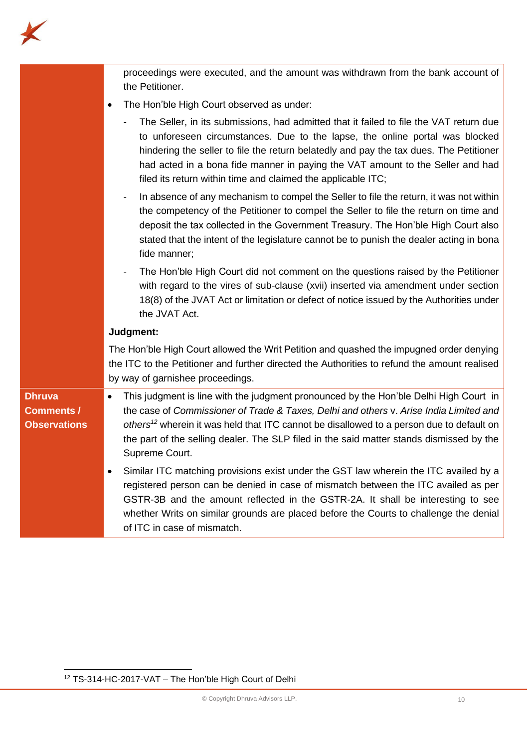

|                                                           | proceedings were executed, and the amount was withdrawn from the bank account of<br>the Petitioner.                                                                                                                                                                                                                                                                                                                |
|-----------------------------------------------------------|--------------------------------------------------------------------------------------------------------------------------------------------------------------------------------------------------------------------------------------------------------------------------------------------------------------------------------------------------------------------------------------------------------------------|
|                                                           | The Hon'ble High Court observed as under:                                                                                                                                                                                                                                                                                                                                                                          |
|                                                           | The Seller, in its submissions, had admitted that it failed to file the VAT return due<br>to unforeseen circumstances. Due to the lapse, the online portal was blocked<br>hindering the seller to file the return belatedly and pay the tax dues. The Petitioner<br>had acted in a bona fide manner in paying the VAT amount to the Seller and had<br>filed its return within time and claimed the applicable ITC; |
|                                                           | In absence of any mechanism to compel the Seller to file the return, it was not within<br>the competency of the Petitioner to compel the Seller to file the return on time and<br>deposit the tax collected in the Government Treasury. The Hon'ble High Court also<br>stated that the intent of the legislature cannot be to punish the dealer acting in bona<br>fide manner;                                     |
|                                                           | The Hon'ble High Court did not comment on the questions raised by the Petitioner<br>with regard to the vires of sub-clause (xvii) inserted via amendment under section<br>18(8) of the JVAT Act or limitation or defect of notice issued by the Authorities under<br>the JVAT Act.                                                                                                                                 |
|                                                           | Judgment:                                                                                                                                                                                                                                                                                                                                                                                                          |
|                                                           | The Hon'ble High Court allowed the Writ Petition and quashed the impugned order denying<br>the ITC to the Petitioner and further directed the Authorities to refund the amount realised<br>by way of garnishee proceedings.                                                                                                                                                                                        |
| <b>Dhruva</b><br><b>Comments /</b><br><b>Observations</b> | This judgment is line with the judgment pronounced by the Hon'ble Delhi High Court in<br>$\bullet$<br>the case of Commissioner of Trade & Taxes, Delhi and others v. Arise India Limited and<br>others <sup>12</sup> wherein it was held that ITC cannot be disallowed to a person due to default on<br>the part of the selling dealer. The SLP filed in the said matter stands dismissed by the<br>Supreme Court. |
|                                                           | Similar ITC matching provisions exist under the GST law wherein the ITC availed by a<br>registered person can be denied in case of mismatch between the ITC availed as per<br>GSTR-3B and the amount reflected in the GSTR-2A. It shall be interesting to see<br>whether Writs on similar grounds are placed before the Courts to challenge the denial<br>of ITC in case of mismatch.                              |

<sup>12</sup> TS-314-HC-2017-VAT – The Hon'ble High Court of Delhi